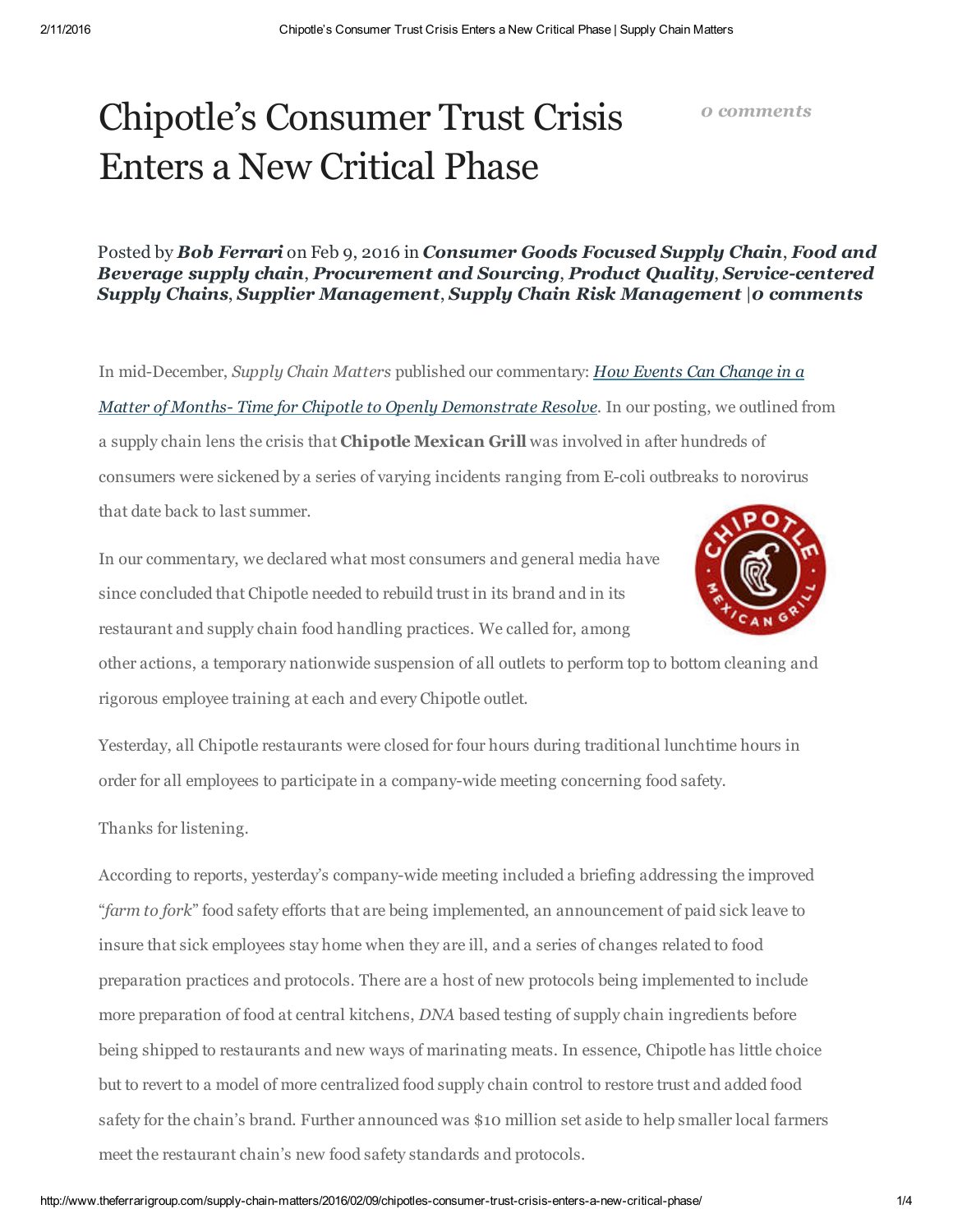### 0 [comments](http://www.theferrarigroup.com/supply-chain-matters/2016/02/09/chipotles-consumer-trust-crisis-enters-a-new-critical-phase/#respond)

# Chipotle's Consumer Trust Crisis Enters a New Critical Phase

Posted by Bob Ferrari on Feb 9, 2016 in [Consumer](http://www.theferrarigroup.com/supply-chain-matters/category/industry-specific-supply-chain-issues/cpg/) Goods Focused Supply Chain, Food and Beverage supply chain, [Procurement](http://www.theferrarigroup.com/supply-chain-matters/category/procurement-and-sourcing/) and Sourcing, [Product](http://www.theferrarigroup.com/supply-chain-matters/category/product-quality/) Quality, Service-centered Supply Chains, Supplier [Management](http://www.theferrarigroup.com/supply-chain-matters/category/supplier-management/), Supply Chain Risk [Management](http://www.theferrarigroup.com/supply-chain-matters/category/supply-chain-risk-management/) |0 [comments](http://www.theferrarigroup.com/supply-chain-matters/2016/02/09/chipotles-consumer-trust-crisis-enters-a-new-critical-phase/#respond)

In mid-December, Supply Chain Matters published our commentary: How Events Can Change in a Matter of Months-Time for Chipotle to Openly Demonstrate Resolve. In our posting, we outlined from a supply chain lens the crisis that Chipotle Mexican Grill was involved in after hundreds of consumers were sickened by a series of varying incidents ranging from Ecoli outbreaks to norovirus that date back to last summer.

In our commentary, we declared what most consumers and general media have since concluded that Chipotle needed to rebuild trust in its brand and in its restaurant and supply chain food handling practices. We called for, among



other actions, a temporary nationwide suspension of all outlets to perform top to bottom cleaning and rigorous employee training at each and every Chipotle outlet.

Yesterday, all Chipotle restaurants were closed for four hours during traditional lunchtime hours in order for all employees to participate in a companywide meeting concerning food safety.

Thanks for listening.

According to reports, yesterday's company-wide meeting included a briefing addressing the improved "farm to fork" food safety efforts that are being implemented, an announcement of paid sick leave to insure that sick employees stay home when they are ill, and a series of changes related to food preparation practices and protocols. There are a host of new protocols being implemented to include more preparation of food at central kitchens, DNA based testing of supply chain ingredients before being shipped to restaurants and new ways of marinating meats. In essence, Chipotle has little choice but to revert to a model of more centralized food supply chain control to restore trust and added food safety for the chain's brand. Further announced was \$10 million set aside to help smaller local farmers meet the restaurant chain's new food safety standards and protocols.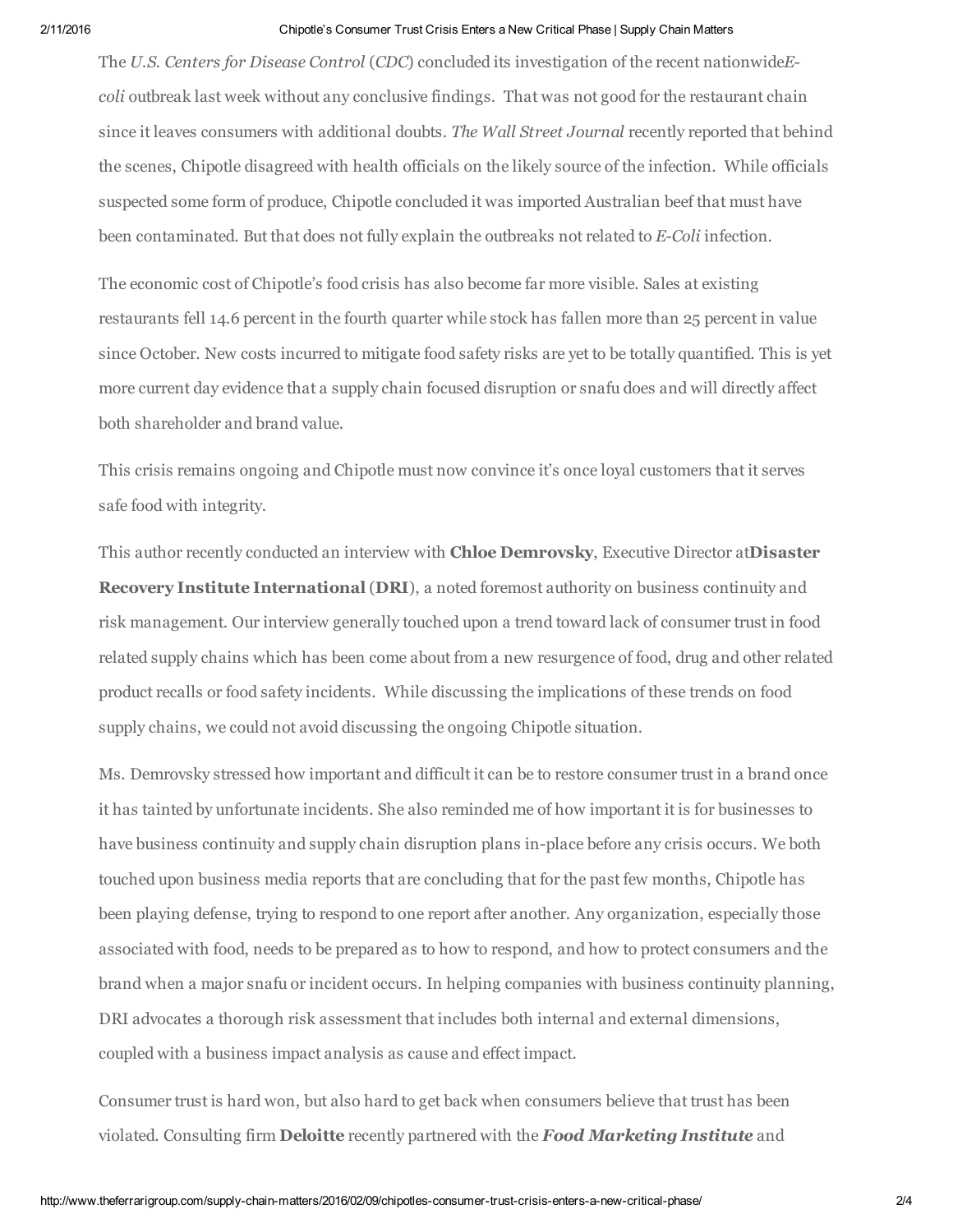### 2/11/2016 Chipotle's Consumer Trust Crisis Enters a New Critical Phase | Supply Chain Matters

The U.S. Centers for Disease Control (CDC) concluded its investigation of the recent nationwideEcoli outbreak last week without any conclusive findings. That was not good for the restaurant chain since it leaves consumers with additional doubts. The Wall Street Journal recently reported that behind the scenes, Chipotle disagreed with health officials on the likely source of the infection. While officials suspected some form of produce, Chipotle concluded it was imported Australian beef that must have been contaminated. But that does not fully explain the outbreaks not related to E-Coli infection.

The economic cost of Chipotle's food crisis has also become far more visible. Sales at existing restaurants fell 14.6 percent in the fourth quarter while stock has fallen more than 25 percent in value since October. New costs incurred to mitigate food safety risks are yet to be totally quantified. This is yet more current day evidence that a supply chain focused disruption or snafu does and will directly affect both shareholder and brand value.

This crisis remains ongoing and Chipotle must now convince it's once loyal customers that it serves safe food with integrity.

This author recently conducted an interview with **Chloe Demrovsky**, Executive Director atDisaster Recovery Institute International (DRI), a noted foremost authority on business continuity and risk management. Our interview generally touched upon a trend toward lack of consumer trust in food related supply chains which has been come about from a new resurgence of food, drug and other related product recalls or food safety incidents. While discussing the implications of these trends on food supply chains, we could not avoid discussing the ongoing Chipotle situation.

Ms. Demrovsky stressed how important and difficult it can be to restore consumer trust in a brand once it has tainted by unfortunate incidents. She also reminded me of how important it is for businesses to have business continuity and supply chain disruption plans in-place before any crisis occurs. We both touched upon business media reports that are concluding that for the past few months, Chipotle has been playing defense, trying to respond to one report after another. Any organization, especially those associated with food, needs to be prepared as to how to respond, and how to protect consumers and the brand when a major snafu or incident occurs. In helping companies with business continuity planning, DRI advocates a thorough risk assessment that includes both internal and external dimensions, coupled with a business impact analysis as cause and effect impact.

Consumer trust is hard won, but also hard to get back when consumers believe that trust has been violated. Consulting firm **Deloitte** recently partnered with the **Food Marketing Institute** and